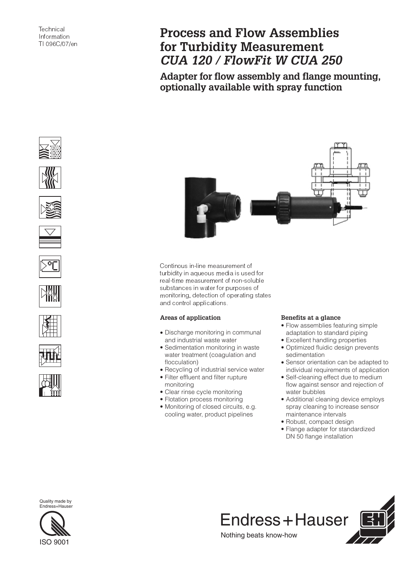# **Process and Flow Assemblies for Turbidity Measurement** *CUA 120 / FlowFit W CUA 250*

**Adapter for flow assembly and flange mounting, optionally available with spray function**





















Continous in-line measurement of turbidity in aqueous media is used for real-time measurement of non-soluble substances in water for purposes of monitoring, detection of operating states and control applications.

## **Areas of application**

- Discharge monitoring in communal and industrial waste water
- Sedimentation monitoring in waste water treatment (coagulation and flocculation)
- Recycling of industrial service water
- Filter effluent and filter rupture monitoring
- Clear rinse cycle monitoring
- Flotation process monitoring
- Monitoring of closed circuits, e.g. cooling water, product pipelines

## **Benefits at a glance**

- Flow assemblies featuring simple adaptation to standard piping
- Excellent handling properties
- Optimized fluidic design prevents sedimentation
- Sensor orientation can be adapted to individual requirements of application
- Self-cleaning effect due to medium flow against sensor and rejection of water bubbles
- Additional cleaning device employs spray cleaning to increase sensor maintenance intervals
- Robust, compact design
- Flange adapter for standardized DN 50 flange installation



Quality made by Endress+Hauser

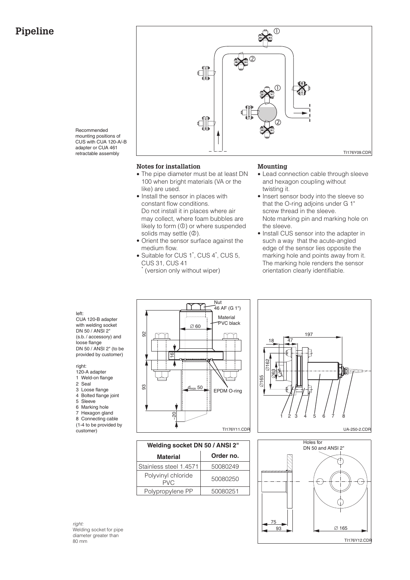# **Pipeline**



Recommended mounting positions of CUS with CUA 120-A/-B adapter or CUA 461 retractable assembly

#### **Notes for installation**

- The pipe diameter must be at least DN 100 when bright materials (VA or the like) are used.
- Install the sensor in places with constant flow conditions. Do not install it in places where air may collect, where foam bubbles are likely to form  $(\mathbb{O})$  or where suspended solids may settle  $(②)$ .
- Orient the sensor surface against the medium flow.
- Suitable for CUS 1<sup>\*</sup>, CUS 4<sup>\*</sup>, CUS 5, CUS 31, CUS 41

(version only without wiper)

#### **Mounting**

- Lead connection cable through sleeve and hexagon coupling without twisting it.
- Insert sensor body into the sleeve so that the O-ring adjoins under G 1" screw thread in the sleeve. Note marking pin and marking hole on the sleeve.
- Install CUS sensor into the adapter in such a way that the acute-angled edge of the sensor lies opposite the marking hole and points away from it. The marking hole renders the sensor orientation clearly identifiable.

#### left:

CUA 120-B adapter with welding socket DN 50 / ANSI 2" (s.b. / accessory) and loose flange DN 50 / ANSI 2" (to be provided by customer)

#### right:

- 120-A adapter
- 1 Weld-on flange 2 Seal
- 3 Loose flange
- 4 Bolted flange joint
- 5 Sleeve
- 6 Marking hole
- 7 Hexagon gland
- 8 Connecting cable
- (1-4 to be provided by customer)



| Welding socket DN 50 / ANSI 2" |           |  |
|--------------------------------|-----------|--|
| <b>Material</b>                | Order no. |  |
| Stainless steel 1.4571         | 50080249  |  |
| Polyvinyl chloride<br>PVC      | 50080250  |  |
| Polypropylene PP               | 50080251  |  |





right: Welding socket for pipe diameter greater than 80 mm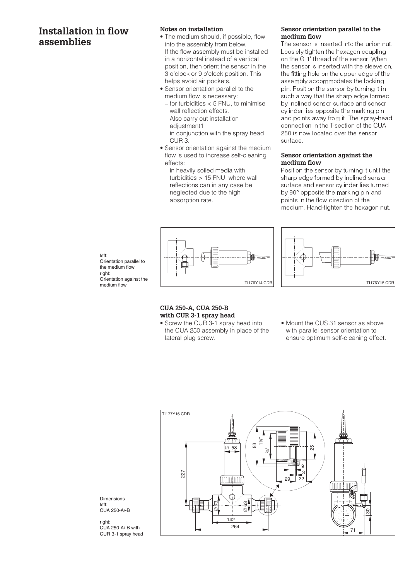# **Installation in flow assemblies**

## **Notes on installation**

- The medium should, if possible, flow into the assembly from below. If the flow assembly must be installed in a horizontal instead of a vertical position, then orient the sensor in the 3 o'clock or 9 o'clock position. This helps avoid air pockets.
- Sensor orientation parallel to the medium flow is necessary:
	- for turbidities < 5 FNU, to minimise wall reflection effects. Also carry out installation adiustment1
	- in conjunction with the spray head CUR 3.
- Sensor orientation against the medium flow is used to increase self-cleaning effects:
	- in heavily soiled media with turbidities > 15 FNU, where wall reflections can in any case be neglected due to the high absorption rate.

#### **Sensor orientation parallel to the medium flow**

The sensor is inserted into the union nut. Looslely tighten the hexagon coupling on the G 1" thread of the sensor. When the sensor is inserted with the sleeve on, the fitting hole on the upper edge of the assembly accommodates the locking pin. Position the sensor by turning it in such a way that the sharp edge formed by inclined sensor surface and sensor cylinder lies opposite the marking pin and points away from it. The spray-head connection in the T-section of the CUA 250 is now located over the sensor surface.

### **Sensor orientation against the medium flow**

Position the sensor by turning it until the sharp edge formed by inclined sensor surface and sensor cylinder lies turned by 90° opposite the marking pin and points in the flow direction of the medium. Hand-tighten the hexagon nut.







#### **CUA 250-A, CUA 250-B with CUR 3-1 spray head**

- Screw the CUR 3-1 spray head into the CUA 250 assembly in place of the lateral plug screw.
- Mount the CUS 31 sensor as above with parallel sensor orientation to ensure optimum self-cleaning effect.



Dimensions left: CUA 250-A/-B

right: CUA 250-A/-B with CUR 3-1 spray head